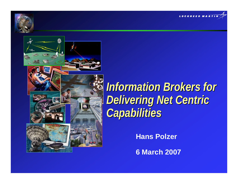





**Information Brokers for** *Delivering Net Centric Delivering Net Centric Capabilities Capabilities*

**Hans Polzer**

**6 March 2007**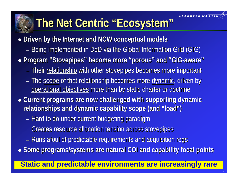

# **The Net Centric "Ecosystem" The Net Centric "Ecosystem"**

- **Driven by the Internet and NCW conceptual models** 
	- Being implemented in DoD via the Global Information Grid (GIG)
- z **Program "Stovepipes" become more "porous" and "GIG Program "Stovepipes" become more "porous" and "GIG -aware"** 
	- Their <u>relationship</u> with other stovepipes becomes more important
	- The <u>scope</u> of that relationship becomes more <u>dynamic</u>, driven by operational objectives more than by static charter or doctrine
- **Current programs are now challenged with supporting dynamic relationships and dynamic capability scope (and "load") relationships and dynamic capability scope (and "load")**
	- Hard to do under current budgeting paradigm
	- Creates resource allocation tension across stovepipes
	- Runs afoul of predictable requirements and acquisition regs

**• Some programs/systems are natural COI and capability focal points** 

## **Static and predictable environments are increasingly rare**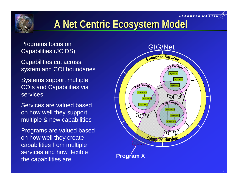



## **A Net Centric Ecosystem Model A Net Centric Ecosystem Model**

Capabilities cut across system and COI boundaries

Systems support multiple COIs and Capabilities via services

Services are valued based on how well they support multiple & new capabilities

Programs are valued based on how well they create capabilities from multiple services and how flexible the capabilities are

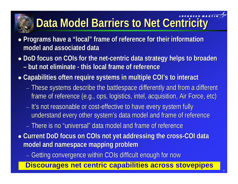# **Data Model Barriers to Net Centricity**

- z **Programs have a "local" frame of Programs have a "local" frame of reference for their information reference for their information model and associated data model and associated data**
- z **DoD focus on DoD focus on COIs for the net for the net-centric data strategy helps to broaden centric data strategy helps to broaden – but not eliminate but not eliminate - this local frame of reference this local frame of reference**
- z **Capabilities often require systems in multiple Capabilities often require systems in multiple COI's to interact to interact**
	- $-$  These systems describe the battlespace differently and from a different  $\,$ frame of reference (e.g., ops, logistics, intel, acquisition, Air Force, etc)
	- It's not reasonable or cost-effective to have every system fully understand every other system's data model and frame of reference
	- − There is no "universal" data model and frame of reference
- $\bullet$  Current DoD focus on COIs not yet addressing the cross-COI data **model and namespace mapping problem model and namespace mapping problem**
	- Getting convergence within COIs difficult enough for now

## **Discourages net centric capabilities across stovepipes**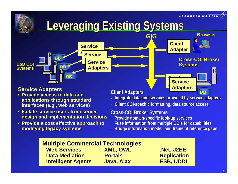**MARTI** 

**DB**

## **Leveraging Existing Systems**



#### **Service Adapters**

- **Provide access to data and Provide access to data and applications through standard interfaces (e.g., web services) interfaces (e.g., web services)**
- **Isolate service users from server design and implementation decisions design and implementation decisions**
- **Provide a cost effective approach to Provide a cost effective approach to modifying legacy systems modifying legacy systems**

#### **Client Adapters Client Adapters**

- •**Integrate data and services provided by service adapters**
- •**Client COI Client COI-specific formatting, data source access specific formatting, data source access**

#### **Cross-COI Broker Systems**

- **Provide domain Provide domain-specific look specific look-up services up services**
- **Fuse information from multiple Fuse information from multiple COIs for capabilities for capabilities**
- •**Bridge information model and frame of reference gaps**

### **Multiple Commercial Technologies**

**Web Services Web ServicesData Mediation Data MediationIntelligent Agents Intelligent Agents Java, Ajax Java, Ajax ESB, UDDI ESB, UDDI**

 **XML, OWL XML, OWL .Net, J2EE .Net, J2EE Portals Portals Replication Replication**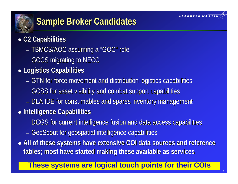

## **Sample Broker Candidates**

## z **C2 Capabilities C2 Capabilities**

- TBMCS/AOC assuming a "GOC" role
- $-$  GCCS migrating to NECC
- z **Logistics Capabilities Logistics Capabilities**
	- GTN for force movement and distribution logistics capabilities
	- GCSS for asset visibility and combat support capabilities
	- DLA IDE for consumables and spares inventory management
- z **Intelligence Capabilities Intelligence Capabilities**
	- DCGS for current intelligence fusion and data access capabilities
	- − GeoScout for geospatial intelligence capabilities
- $\bullet$  All of these systems have extensive COI data sources and reference tables; most have started making these available as services

## **These systems are logical touch points for their COIs**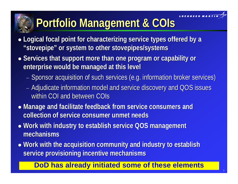

# **Portfolio Management & Portfolio Management & COIs**

- Logical focal point for characterizing service types offered by a **"stovepipe" or system to other stovepipes/systems "stovepipe" or system to other stovepipes/systems**
- **•** Services that support more than one program or capability or **enterprise would be managed at this level enterprise would be managed at this level**
	- Sponsor acquisition of such services (e.g. information broker services)
	- Adjudicate information model and service discovery and QOS issues within COI and between COIs
- **Manage and facilitate feedback from service consumers and collection of service consumer unmet needs collection of service consumer unmet needs**
- **Work with industry to establish service QOS management mechanisms mechanisms**
- Work with the acquisition community and industry to establish **service provisioning incentive mechanisms service provisioning incentive mechanisms**

## **DoD has already initiated some of these elements**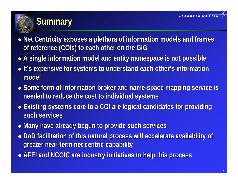



- Net Centricity exposes a plethora of information models and frames **of reference (COIs) to each other on the GIG**
- **A single information model and entity namespace is not possible**
- $\bullet$  It's expensive for systems to understand each other's information **model**
- **Some form of information broker and name-space mapping service is needed to reduce the cost needed to reduce the cost to individual systems to individual systems**
- **Existing systems core to a COI are logical candidates for providing such services such services**
- z **Many have already begun to provide such services Many have already begun to provide such services**
- DoD facilitation of this natural process will accelerate availability of **greater near greater near-term net centric capability term net centric capability**
- z **AFEI and NCOIC are industry in AFEI and NCOIC are industry initiatives to help this process itiatives to help this process**